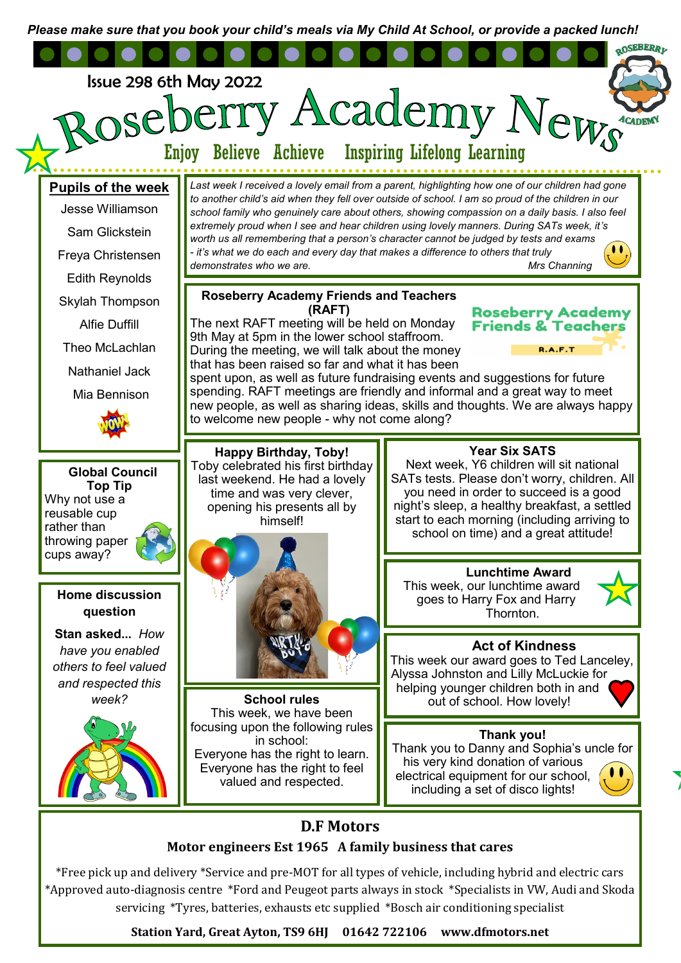*Please make sure that you book your child's meals via My Child At School, or provide a packed lunch!*



\*Free pick up and delivery \*Service and pre-MOT for all types of vehicle, including hybrid and electric cars \*Approved auto-diagnosis centre \*Ford and Peugeot parts always in stock \*Specialists in VW, Audi and Skoda servicing \*Tyres, batteries, exhausts etc supplied \*Bosch air conditioning specialist